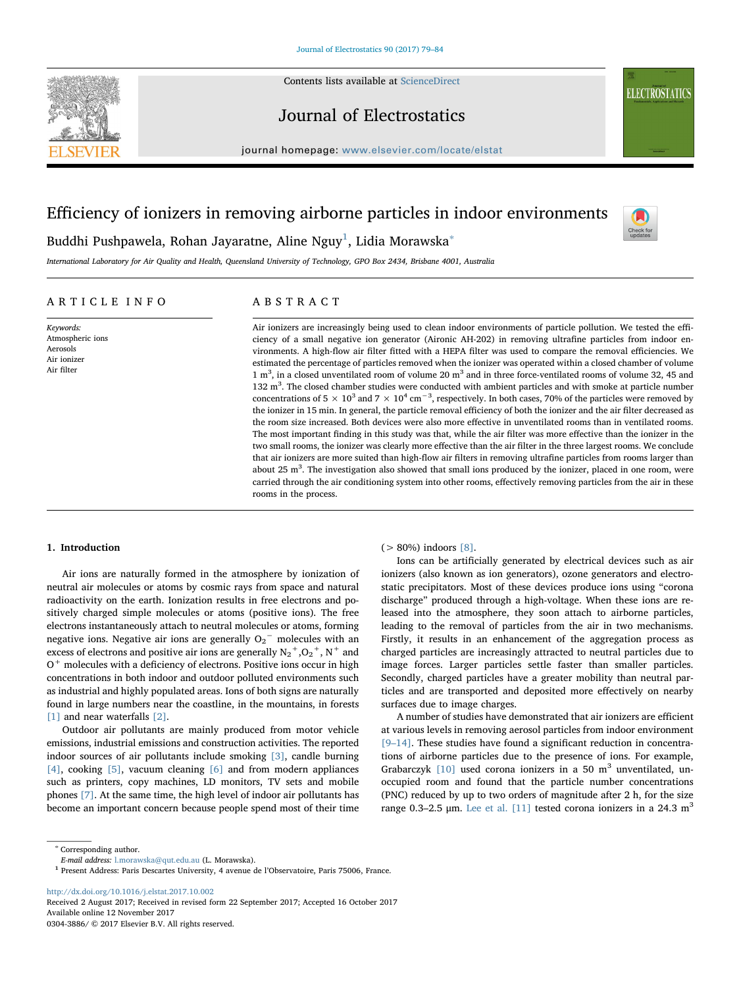

Contents lists available at [ScienceDirect](http://www.sciencedirect.com/science/journal/03043886)

# Journal of Electrostatics

journal homepage: [www.elsevier.com/locate/elstat](https://www.elsevier.com/locate/elstat)

# Efficiency of ionizers in removing airborne particles in indoor environments



**ELECTROSTATICS** 

Buddhi Pushpawela, Rohan Jayaratne, Aline Nguy $^1$ , Lidia Morawska $^\ast$ 

International Laboratory for Air Quality and Health, Queensland University of Technology, GPO Box 2434, Brisbane 4001, Australia

# ARTICLE INFO

Keywords: Atmospheric ions Aerosols Air ionizer Air filter

# ABSTRACT

Air ionizers are increasingly being used to clean indoor environments of particle pollution. We tested the efficiency of a small negative ion generator (Aironic AH-202) in removing ultrafine particles from indoor environments. A high-flow air filter fitted with a HEPA filter was used to compare the removal efficiencies. We estimated the percentage of particles removed when the ionizer was operated within a closed chamber of volume 1  $m<sup>3</sup>$ , in a closed unventilated room of volume 20  $m<sup>3</sup>$  and in three force-ventilated rooms of volume 32, 45 and 132 m<sup>3</sup>. The closed chamber studies were conducted with ambient particles and with smoke at particle number concentrations of 5  $\times$  10<sup>3</sup> and 7  $\times$  10<sup>4</sup> cm<sup>-3</sup>, respectively. In both cases, 70% of the particles were removed by the ionizer in 15 min. In general, the particle removal efficiency of both the ionizer and the air filter decreased as the room size increased. Both devices were also more effective in unventilated rooms than in ventilated rooms. The most important finding in this study was that, while the air filter was more effective than the ionizer in the two small rooms, the ionizer was clearly more effective than the air filter in the three largest rooms. We conclude that air ionizers are more suited than high-flow air filters in removing ultrafine particles from rooms larger than about 25  $m<sup>3</sup>$ . The investigation also showed that small ions produced by the ionizer, placed in one room, were carried through the air conditioning system into other rooms, effectively removing particles from the air in these rooms in the process.

#### 1. Introduction

Air ions are naturally formed in the atmosphere by ionization of neutral air molecules or atoms by cosmic rays from space and natural radioactivity on the earth. Ionization results in free electrons and positively charged simple molecules or atoms (positive ions). The free electrons instantaneously attach to neutral molecules or atoms, forming negative ions. Negative air ions are generally  $O_2^{\mathrm{-}}$  molecules with an excess of electrons and positive air ions are generally  $\mathrm{N_2}^+,\mathrm{O_2}^+,\mathrm{N}^+$  and  $O<sup>+</sup>$  molecules with a deficiency of electrons. Positive ions occur in high concentrations in both indoor and outdoor polluted environments such as industrial and highly populated areas. Ions of both signs are naturally found in large numbers near the coastline, in the mountains, in forests [\[1\]](#page-5-0) and near waterfalls [\[2\].](#page-5-1)

Outdoor air pollutants are mainly produced from motor vehicle emissions, industrial emissions and construction activities. The reported indoor sources of air pollutants include smoking [\[3\],](#page-5-2) candle burning [\[4\],](#page-5-3) cooking [\[5\],](#page-5-4) vacuum cleaning [\[6\]](#page-5-5) and from modern appliances such as printers, copy machines, LD monitors, TV sets and mobile phones [\[7\].](#page-5-6) At the same time, the high level of indoor air pollutants has become an important concern because people spend most of their time

# $( > 80\%)$  indoors [\[8\].](#page-5-7)

Ions can be artificially generated by electrical devices such as air ionizers (also known as ion generators), ozone generators and electrostatic precipitators. Most of these devices produce ions using "corona discharge" produced through a high-voltage. When these ions are released into the atmosphere, they soon attach to airborne particles, leading to the removal of particles from the air in two mechanisms. Firstly, it results in an enhancement of the aggregation process as charged particles are increasingly attracted to neutral particles due to image forces. Larger particles settle faster than smaller particles. Secondly, charged particles have a greater mobility than neutral particles and are transported and deposited more effectively on nearby surfaces due to image charges.

A number of studies have demonstrated that air ionizers are efficient at various levels in removing aerosol particles from indoor environment [9–[14\].](#page-5-8) These studies have found a significant reduction in concentrations of airborne particles due to the presence of ions. For example, Grabarczyk  $[10]$  used corona ionizers in a 50 m<sup>3</sup> unventilated, unoccupied room and found that the particle number concentrations (PNC) reduced by up to two orders of magnitude after 2 h, for the size range 0.3–2.5 μm. [Lee et al. \[11\]](#page-5-10) tested corona ionizers in a 24.3 m<sup>3</sup>

<span id="page-0-1"></span><sup>∗</sup> Corresponding author.

<http://dx.doi.org/10.1016/j.elstat.2017.10.002>

Received 2 August 2017; Received in revised form 22 September 2017; Accepted 16 October 2017 Available online 12 November 2017 0304-3886/ © 2017 Elsevier B.V. All rights reserved.

E-mail address: [l.morawska@qut.edu.au](mailto:l.morawska@qut.edu.au) (L. Morawska).

<span id="page-0-0"></span><sup>1</sup> Present Address: Paris Descartes University, 4 avenue de l'Observatoire, Paris 75006, France.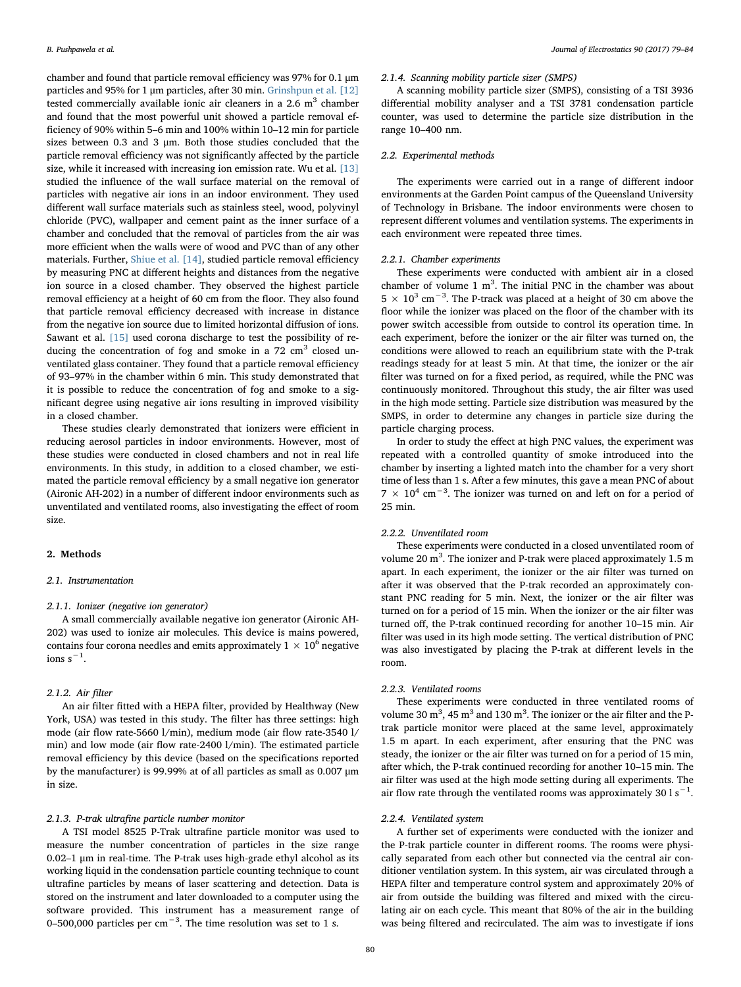chamber and found that particle removal efficiency was 97% for 0.1 μm particles and 95% for 1 μm particles, after 30 min. [Grinshpun et al. \[12\]](#page-5-11) tested commercially available ionic air cleaners in a  $2.6 \text{ m}^3$  chamber and found that the most powerful unit showed a particle removal efficiency of 90% within 5–6 min and 100% within 10–12 min for particle sizes between 0.3 and 3 μm. Both those studies concluded that the particle removal efficiency was not significantly affected by the particle size, while it increased with increasing ion emission rate. Wu et al. [\[13\]](#page-5-12) studied the influence of the wall surface material on the removal of particles with negative air ions in an indoor environment. They used different wall surface materials such as stainless steel, wood, polyvinyl chloride (PVC), wallpaper and cement paint as the inner surface of a chamber and concluded that the removal of particles from the air was more efficient when the walls were of wood and PVC than of any other materials. Further, [Shiue et al. \[14\]](#page-5-13), studied particle removal efficiency by measuring PNC at different heights and distances from the negative ion source in a closed chamber. They observed the highest particle removal efficiency at a height of 60 cm from the floor. They also found that particle removal efficiency decreased with increase in distance from the negative ion source due to limited horizontal diffusion of ions. Sawant et al. [\[15\]](#page-5-14) used corona discharge to test the possibility of reducing the concentration of fog and smoke in a  $72 \text{ cm}^3$  closed unventilated glass container. They found that a particle removal efficiency of 93–97% in the chamber within 6 min. This study demonstrated that it is possible to reduce the concentration of fog and smoke to a significant degree using negative air ions resulting in improved visibility in a closed chamber.

These studies clearly demonstrated that ionizers were efficient in reducing aerosol particles in indoor environments. However, most of these studies were conducted in closed chambers and not in real life environments. In this study, in addition to a closed chamber, we estimated the particle removal efficiency by a small negative ion generator (Aironic AH-202) in a number of different indoor environments such as unventilated and ventilated rooms, also investigating the effect of room size.

#### 2. Methods

#### 2.1. Instrumentation

# 2.1.1. Ionizer (negative ion generator)

A small commercially available negative ion generator (Aironic AH-202) was used to ionize air molecules. This device is mains powered, contains four corona needles and emits approximately  $1 \times 10^6$  negative  $ions s<sup>-1</sup>.$ 

#### 2.1.2. Air filter

An air filter fitted with a HEPA filter, provided by Healthway (New York, USA) was tested in this study. The filter has three settings: high mode (air flow rate-5660 l/min), medium mode (air flow rate-3540 l/ min) and low mode (air flow rate-2400 l/min). The estimated particle removal efficiency by this device (based on the specifications reported by the manufacturer) is 99.99% at of all particles as small as 0.007 μm in size.

# 2.1.3. P-trak ultrafine particle number monitor

A TSI model 8525 P-Trak ultrafine particle monitor was used to measure the number concentration of particles in the size range 0.02–1 μm in real-time. The P-trak uses high-grade ethyl alcohol as its working liquid in the condensation particle counting technique to count ultrafine particles by means of laser scattering and detection. Data is stored on the instrument and later downloaded to a computer using the software provided. This instrument has a measurement range of 0–500,000 particles per cm<sup>-3</sup>. The time resolution was set to 1 s.

#### 2.1.4. Scanning mobility particle sizer (SMPS)

A scanning mobility particle sizer (SMPS), consisting of a TSI 3936 differential mobility analyser and a TSI 3781 condensation particle counter, was used to determine the particle size distribution in the range 10–400 nm.

#### 2.2. Experimental methods

The experiments were carried out in a range of different indoor environments at the Garden Point campus of the Queensland University of Technology in Brisbane. The indoor environments were chosen to represent different volumes and ventilation systems. The experiments in each environment were repeated three times.

### 2.2.1. Chamber experiments

These experiments were conducted with ambient air in a closed chamber of volume  $1 \text{ m}^3$ . The initial PNC in the chamber was about 5  $\times$  10<sup>3</sup> cm<sup>-3</sup>. The P-track was placed at a height of 30 cm above the floor while the ionizer was placed on the floor of the chamber with its power switch accessible from outside to control its operation time. In each experiment, before the ionizer or the air filter was turned on, the conditions were allowed to reach an equilibrium state with the P-trak readings steady for at least 5 min. At that time, the ionizer or the air filter was turned on for a fixed period, as required, while the PNC was continuously monitored. Throughout this study, the air filter was used in the high mode setting. Particle size distribution was measured by the SMPS, in order to determine any changes in particle size during the particle charging process.

In order to study the effect at high PNC values, the experiment was repeated with a controlled quantity of smoke introduced into the chamber by inserting a lighted match into the chamber for a very short time of less than 1 s. After a few minutes, this gave a mean PNC of about  $7 \times 10^{4}$  cm<sup>-3</sup>. The ionizer was turned on and left on for a period of 25 min.

## 2.2.2. Unventilated room

These experiments were conducted in a closed unventilated room of volume 20 m<sup>3</sup>. The ionizer and P-trak were placed approximately 1.5 m apart. In each experiment, the ionizer or the air filter was turned on after it was observed that the P-trak recorded an approximately constant PNC reading for 5 min. Next, the ionizer or the air filter was turned on for a period of 15 min. When the ionizer or the air filter was turned off, the P-trak continued recording for another 10–15 min. Air filter was used in its high mode setting. The vertical distribution of PNC was also investigated by placing the P-trak at different levels in the room.

# 2.2.3. Ventilated rooms

These experiments were conducted in three ventilated rooms of volume 30  $m^3$ , 45  $m^3$  and 130  $m^3$ . The ionizer or the air filter and the Ptrak particle monitor were placed at the same level, approximately 1.5 m apart. In each experiment, after ensuring that the PNC was steady, the ionizer or the air filter was turned on for a period of 15 min, after which, the P-trak continued recording for another 10–15 min. The air filter was used at the high mode setting during all experiments. The air flow rate through the ventilated rooms was approximately 30 l s<sup>-1</sup>.

# 2.2.4. Ventilated system

A further set of experiments were conducted with the ionizer and the P-trak particle counter in different rooms. The rooms were physically separated from each other but connected via the central air conditioner ventilation system. In this system, air was circulated through a HEPA filter and temperature control system and approximately 20% of air from outside the building was filtered and mixed with the circulating air on each cycle. This meant that 80% of the air in the building was being filtered and recirculated. The aim was to investigate if ions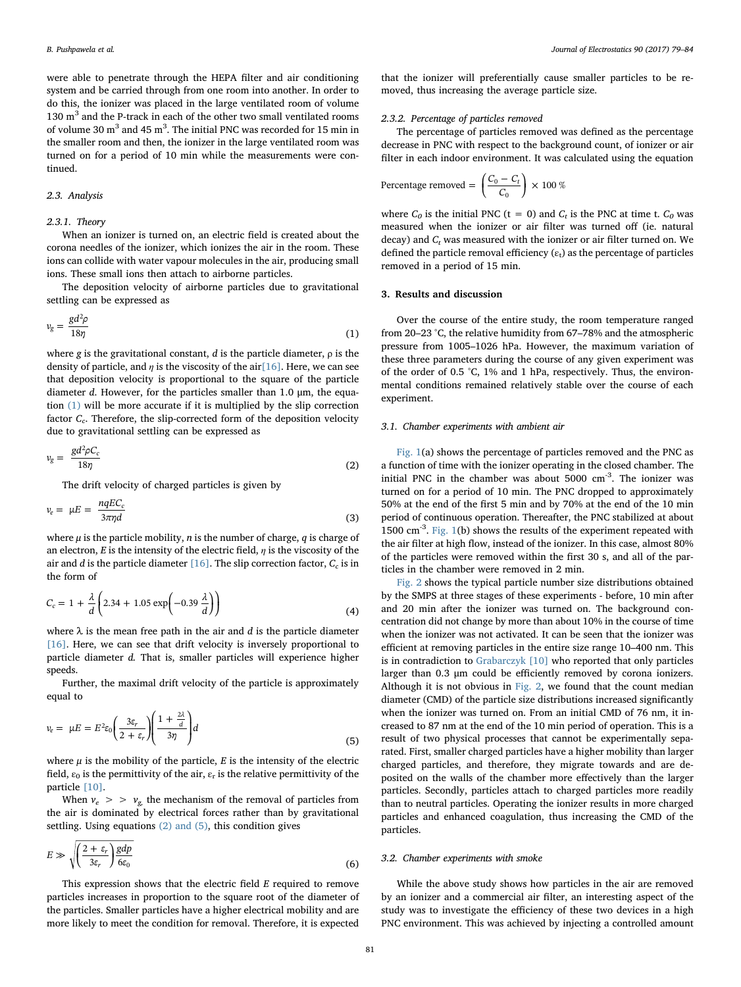were able to penetrate through the HEPA filter and air conditioning system and be carried through from one room into another. In order to do this, the ionizer was placed in the large ventilated room of volume 130 m<sup>3</sup> and the P-track in each of the other two small ventilated rooms of volume 30  $\text{m}^{3}$  and 45  $\text{m}^{3}$ . The initial PNC was recorded for 15 min in the smaller room and then, the ionizer in the large ventilated room was turned on for a period of 10 min while the measurements were continued.

#### 2.3. Analysis

#### 2.3.1. Theory

When an ionizer is turned on, an electric field is created about the corona needles of the ionizer, which ionizes the air in the room. These ions can collide with water vapour molecules in the air, producing small ions. These small ions then attach to airborne particles.

<span id="page-2-0"></span>The deposition velocity of airborne particles due to gravitational settling can be expressed as

$$
v_g = \frac{gd^2\rho}{18\eta} \tag{1}
$$

where g is the gravitational constant,  $d$  is the particle diameter,  $\rho$  is the density of particle, and  $\eta$  is the viscosity of the ai[r\[16\]](#page-5-15). Here, we can see that deposition velocity is proportional to the square of the particle diameter d. However, for the particles smaller than 1.0 μm, the equation [\(1\)](#page-2-0) will be more accurate if it is multiplied by the slip correction factor  $C_c$ . Therefore, the slip-corrected form of the deposition velocity due to gravitational settling can be expressed as

<span id="page-2-1"></span>
$$
v_g = \frac{gd^2\rho C_c}{18\eta} \tag{2}
$$

The drift velocity of charged particles is given by

$$
v_e = \mu E = \frac{nqEC_c}{3\pi\eta d} \tag{3}
$$

where  $\mu$  is the particle mobility, *n* is the number of charge, *q* is charge of an electron, E is the intensity of the electric field,  $\eta$  is the viscosity of the air and d is the particle diameter  $[16]$ . The slip correction factor,  $C_c$  is in the form of

$$
C_c = 1 + \frac{\lambda}{d} \left( 2.34 + 1.05 \exp\left(-0.39 \frac{\lambda}{d}\right) \right)
$$
(4)

where  $\lambda$  is the mean free path in the air and d is the particle diameter [\[16\]](#page-5-15). Here, we can see that drift velocity is inversely proportional to particle diameter d. That is, smaller particles will experience higher speeds.

Further, the maximal drift velocity of the particle is approximately equal to

$$
v_e = \mu E = E^2 \varepsilon_0 \left(\frac{3\varepsilon_r}{2 + \varepsilon_r}\right) \left(\frac{1 + \frac{2\lambda}{d}}{3\eta}\right) d
$$
\n(5)

where  $\mu$  is the mobility of the particle, E is the intensity of the electric field,  $\varepsilon_0$  is the permittivity of the air,  $\varepsilon_r$  is the relative permittivity of the particle [\[10\].](#page-5-9)

When  $v_e > v_g$  the mechanism of the removal of particles from the air is dominated by electrical forces rather than by gravitational settling. Using equations [\(2\) and \(5\)](#page-2-1), this condition gives

$$
E \gg \sqrt{\left(\frac{2+\varepsilon_r}{3\varepsilon_r}\right)} \frac{gdp}{6\varepsilon_0} \tag{6}
$$

This expression shows that the electric field E required to remove particles increases in proportion to the square root of the diameter of the particles. Smaller particles have a higher electrical mobility and are more likely to meet the condition for removal. Therefore, it is expected

that the ionizer will preferentially cause smaller particles to be removed, thus increasing the average particle size.

#### 2.3.2. Percentage of particles removed

The percentage of particles removed was defined as the percentage decrease in PNC with respect to the background count, of ionizer or air filter in each indoor environment. It was calculated using the equation

Percentage removed = 
$$
\left(\frac{C_0 - C_t}{C_0}\right) \times 100\%
$$

where  $C_0$  is the initial PNC (t = 0) and  $C_t$  is the PNC at time t.  $C_0$  was measured when the ionizer or air filter was turned off (ie. natural  $\gamma$  decay) and  $C_t$  was measured with the ionizer or air filter turned on. We defined the particle removal efficiency  $(\varepsilon_t)$  as the percentage of particles removed in a period of 15 min.

# 3. Results and discussion

Over the course of the entire study, the room temperature ranged from 20–23 °C, the relative humidity from 67–78% and the atmospheric pressure from 1005–1026 hPa. However, the maximum variation of these three parameters during the course of any given experiment was of the order of 0.5 °C, 1% and 1 hPa, respectively. Thus, the environmental conditions remained relatively stable over the course of each experiment.

#### 3.1. Chamber experiments with ambient air

[Fig. 1\(](#page-3-0)a) shows the percentage of particles removed and the PNC as a function of time with the ionizer operating in the closed chamber. The initial PNC in the chamber was about 5000 cm<sup>-3</sup>. The ionizer was turned on for a period of 10 min. The PNC dropped to approximately 50% at the end of the first 5 min and by 70% at the end of the 10 min period of continuous operation. Thereafter, the PNC stabilized at about 1500 cm-3. [Fig. 1\(](#page-3-0)b) shows the results of the experiment repeated with the air filter at high flow, instead of the ionizer. In this case, almost 80% of the particles were removed within the first 30 s, and all of the particles in the chamber were removed in 2 min.

[Fig. 2](#page-3-1) shows the typical particle number size distributions obtained by the SMPS at three stages of these experiments - before, 10 min after and 20 min after the ionizer was turned on. The background concentration did not change by more than about 10% in the course of time when the ionizer was not activated. It can be seen that the ionizer was efficient at removing particles in the entire size range 10–400 nm. This is in contradiction to [Grabarczyk \[10\]](#page-5-9) who reported that only particles larger than 0.3 μm could be efficiently removed by corona ionizers. Although it is not obvious in [Fig. 2](#page-3-1), we found that the count median diameter (CMD) of the particle size distributions increased significantly when the ionizer was turned on. From an initial CMD of 76 nm, it increased to 87 nm at the end of the 10 min period of operation. This is a result of two physical processes that cannot be experimentally separated. First, smaller charged particles have a higher mobility than larger charged particles, and therefore, they migrate towards and are deposited on the walls of the chamber more effectively than the larger particles. Secondly, particles attach to charged particles more readily than to neutral particles. Operating the ionizer results in more charged particles and enhanced coagulation, thus increasing the CMD of the particles.

#### 3.2. Chamber experiments with smoke

While the above study shows how particles in the air are removed by an ionizer and a commercial air filter, an interesting aspect of the study was to investigate the efficiency of these two devices in a high PNC environment. This was achieved by injecting a controlled amount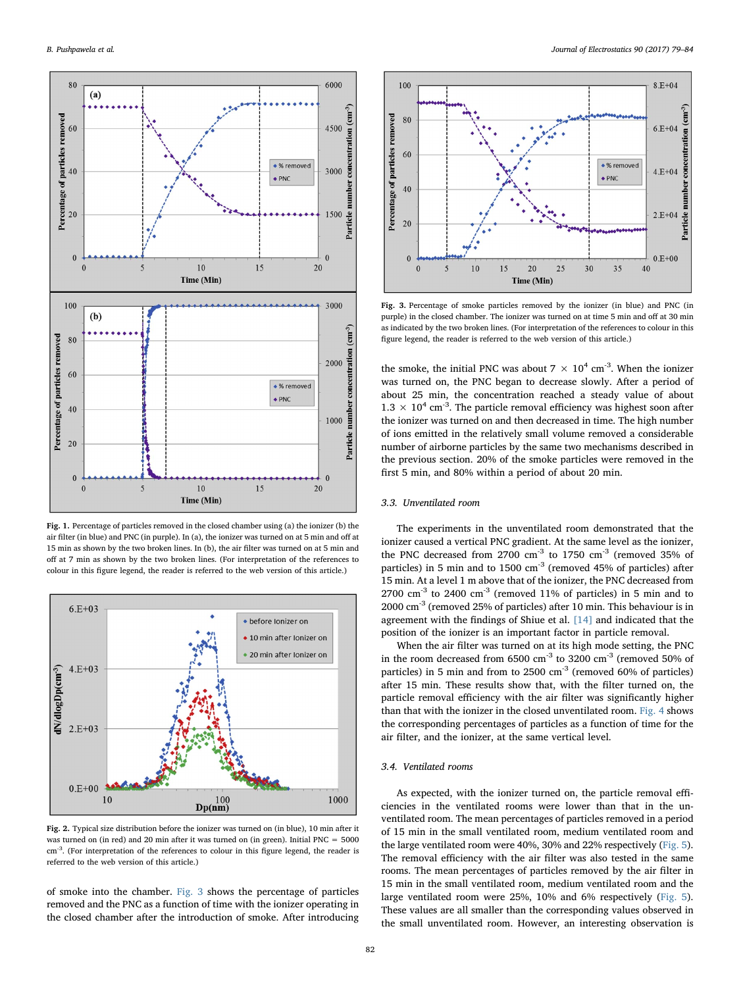<span id="page-3-0"></span>

Fig. 1. Percentage of particles removed in the closed chamber using (a) the ionizer (b) the air filter (in blue) and PNC (in purple). In (a), the ionizer was turned on at 5 min and off at 15 min as shown by the two broken lines. In (b), the air filter was turned on at 5 min and off at 7 min as shown by the two broken lines. (For interpretation of the references to colour in this figure legend, the reader is referred to the web version of this article.)

<span id="page-3-1"></span>

Fig. 2. Typical size distribution before the ionizer was turned on (in blue), 10 min after it was turned on (in red) and 20 min after it was turned on (in green). Initial PNC  $= 5000$ cm-3. (For interpretation of the references to colour in this figure legend, the reader is referred to the web version of this article.)

of smoke into the chamber. [Fig. 3](#page-3-2) shows the percentage of particles removed and the PNC as a function of time with the ionizer operating in the closed chamber after the introduction of smoke. After introducing

<span id="page-3-2"></span>

Fig. 3. Percentage of smoke particles removed by the ionizer (in blue) and PNC (in purple) in the closed chamber. The ionizer was turned on at time 5 min and off at 30 min as indicated by the two broken lines. (For interpretation of the references to colour in this figure legend, the reader is referred to the web version of this article.)

the smoke, the initial PNC was about  $7 \times 10^4$  cm<sup>-3</sup>. When the ionizer was turned on, the PNC began to decrease slowly. After a period of about 25 min, the concentration reached a steady value of about  $1.3 \times 10^4$  cm<sup>-3</sup>. The particle removal efficiency was highest soon after the ionizer was turned on and then decreased in time. The high number of ions emitted in the relatively small volume removed a considerable number of airborne particles by the same two mechanisms described in the previous section. 20% of the smoke particles were removed in the first 5 min, and 80% within a period of about 20 min.

# 3.3. Unventilated room

The experiments in the unventilated room demonstrated that the ionizer caused a vertical PNC gradient. At the same level as the ionizer, the PNC decreased from 2700 cm<sup>-3</sup> to 1750 cm<sup>-3</sup> (removed 35% of particles) in 5 min and to 1500 cm<sup>-3</sup> (removed 45% of particles) after 15 min. At a level 1 m above that of the ionizer, the PNC decreased from  $2700 \text{ cm}^{-3}$  to  $2400 \text{ cm}^{-3}$  (removed  $11\%$  of particles) in 5 min and to 2000 cm-3 (removed 25% of particles) after 10 min. This behaviour is in agreement with the findings of Shiue et al. [\[14\]](#page-5-13) and indicated that the position of the ionizer is an important factor in particle removal.

When the air filter was turned on at its high mode setting, the PNC in the room decreased from 6500  $\text{cm}^{-3}$  to 3200  $\text{cm}^{-3}$  (removed 50% of particles) in 5 min and from to 2500 cm<sup>-3</sup> (removed 60% of particles) after 15 min. These results show that, with the filter turned on, the particle removal efficiency with the air filter was significantly higher than that with the ionizer in the closed unventilated room. [Fig. 4](#page-4-0) shows the corresponding percentages of particles as a function of time for the air filter, and the ionizer, at the same vertical level.

# 3.4. Ventilated rooms

As expected, with the ionizer turned on, the particle removal efficiencies in the ventilated rooms were lower than that in the unventilated room. The mean percentages of particles removed in a period of 15 min in the small ventilated room, medium ventilated room and the large ventilated room were 40%, 30% and 22% respectively ([Fig. 5](#page-4-1)). The removal efficiency with the air filter was also tested in the same rooms. The mean percentages of particles removed by the air filter in 15 min in the small ventilated room, medium ventilated room and the large ventilated room were 25%, 10% and 6% respectively [\(Fig. 5](#page-4-1)). These values are all smaller than the corresponding values observed in the small unventilated room. However, an interesting observation is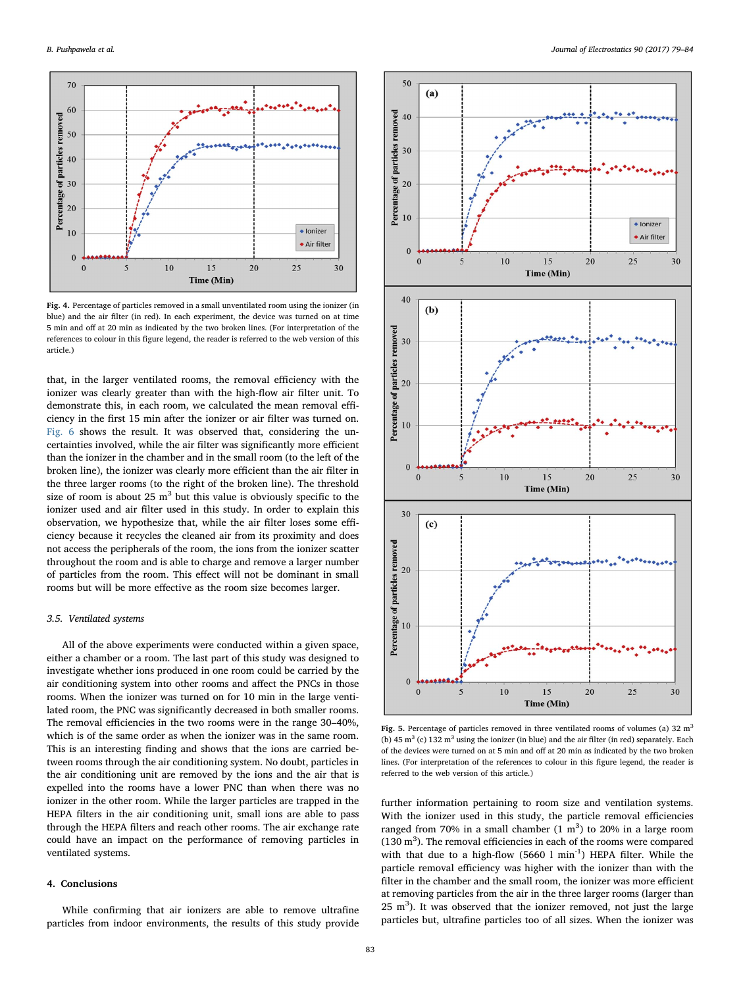<span id="page-4-0"></span>

Fig. 4. Percentage of particles removed in a small unventilated room using the ionizer (in blue) and the air filter (in red). In each experiment, the device was turned on at time 5 min and off at 20 min as indicated by the two broken lines. (For interpretation of the references to colour in this figure legend, the reader is referred to the web version of this article.)

that, in the larger ventilated rooms, the removal efficiency with the ionizer was clearly greater than with the high-flow air filter unit. To demonstrate this, in each room, we calculated the mean removal efficiency in the first 15 min after the ionizer or air filter was turned on. [Fig. 6](#page-5-16) shows the result. It was observed that, considering the uncertainties involved, while the air filter was significantly more efficient than the ionizer in the chamber and in the small room (to the left of the broken line), the ionizer was clearly more efficient than the air filter in the three larger rooms (to the right of the broken line). The threshold size of room is about 25  $m<sup>3</sup>$  but this value is obviously specific to the ionizer used and air filter used in this study. In order to explain this observation, we hypothesize that, while the air filter loses some efficiency because it recycles the cleaned air from its proximity and does not access the peripherals of the room, the ions from the ionizer scatter throughout the room and is able to charge and remove a larger number of particles from the room. This effect will not be dominant in small rooms but will be more effective as the room size becomes larger.

#### 3.5. Ventilated systems

All of the above experiments were conducted within a given space, either a chamber or a room. The last part of this study was designed to investigate whether ions produced in one room could be carried by the air conditioning system into other rooms and affect the PNCs in those rooms. When the ionizer was turned on for 10 min in the large ventilated room, the PNC was significantly decreased in both smaller rooms. The removal efficiencies in the two rooms were in the range 30–40%, which is of the same order as when the ionizer was in the same room. This is an interesting finding and shows that the ions are carried between rooms through the air conditioning system. No doubt, particles in the air conditioning unit are removed by the ions and the air that is expelled into the rooms have a lower PNC than when there was no ionizer in the other room. While the larger particles are trapped in the HEPA filters in the air conditioning unit, small ions are able to pass through the HEPA filters and reach other rooms. The air exchange rate could have an impact on the performance of removing particles in ventilated systems.

# 4. Conclusions

While confirming that air ionizers are able to remove ultrafine particles from indoor environments, the results of this study provide

<span id="page-4-1"></span>

Fig. 5. Percentage of particles removed in three ventilated rooms of volumes (a) 32  $m<sup>3</sup>$ (b) 45  $m^3$  (c) 132  $m^3$  using the ionizer (in blue) and the air filter (in red) separately. Each of the devices were turned on at 5 min and off at 20 min as indicated by the two broken lines. (For interpretation of the references to colour in this figure legend, the reader is referred to the web version of this article.)

further information pertaining to room size and ventilation systems. With the ionizer used in this study, the particle removal efficiencies ranged from 70% in a small chamber  $(1 \text{ m}^3)$  to 20% in a large room  $(130 \text{ m}^3)$ . The removal efficiencies in each of the rooms were compared with that due to a high-flow  $(5660 \, 1 \, \text{min}^{-1})$  HEPA filter. While the particle removal efficiency was higher with the ionizer than with the filter in the chamber and the small room, the ionizer was more efficient at removing particles from the air in the three larger rooms (larger than 25  $m<sup>3</sup>$ ). It was observed that the ionizer removed, not just the large particles but, ultrafine particles too of all sizes. When the ionizer was